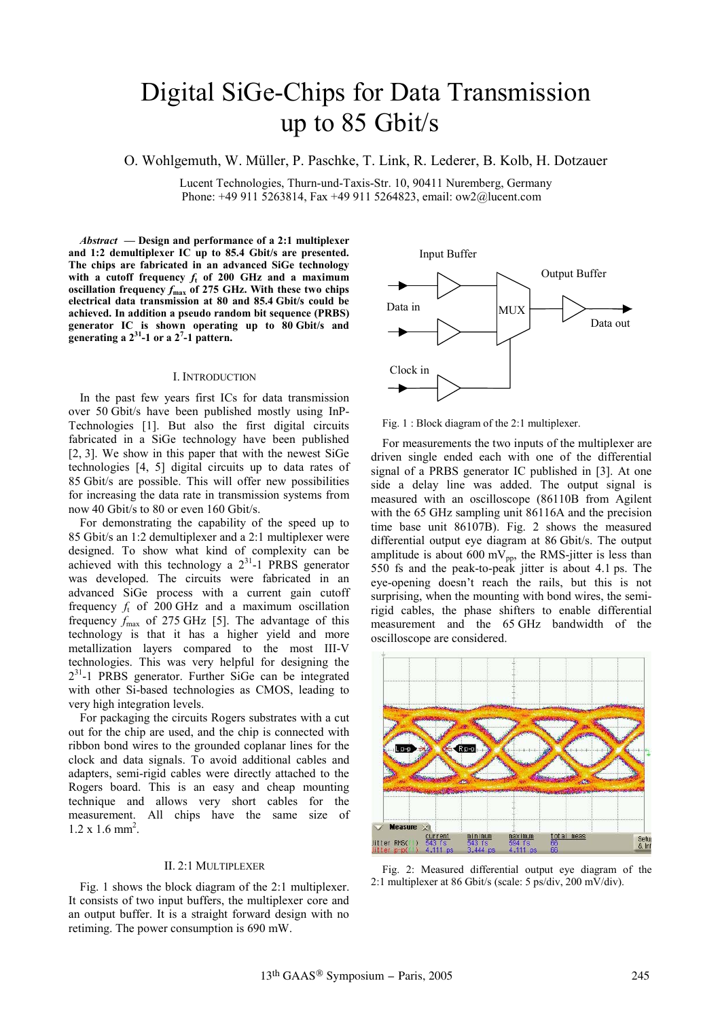# Digital SiGe-Chips for Data Transmission up to 85 Gbit/s

O. Wohlgemuth, W. Müller, P. Paschke, T. Link, R. Lederer, B. Kolb, H. Dotzauer

Lucent Technologies, Thurn-und-Taxis-Str. 10, 90411 Nuremberg, Germany Phone: +49 911 5263814, Fax +49 911 5264823, email: ow2@lucent.com

*Abstract* **— Design and performance of a 2:1 multiplexer and 1:2 demultiplexer IC up to 85.4 Gbit/s are presented. The chips are fabricated in an advanced SiGe technology with a cutoff frequency** *f***t of 200 GHz and a maximum oscillation frequency** *f***max of 275 GHz. With these two chips electrical data transmission at 80 and 85.4 Gbit/s could be achieved. In addition a pseudo random bit sequence (PRBS) generator IC is shown operating up to 80 Gbit/s and generating a 231-1 or a 27 -1 pattern.** 

## I. INTRODUCTION

In the past few years first ICs for data transmission over 50 Gbit/s have been published mostly using InP-Technologies [1]. But also the first digital circuits fabricated in a SiGe technology have been published [2, 3]. We show in this paper that with the newest SiGe technologies [4, 5] digital circuits up to data rates of 85 Gbit/s are possible. This will offer new possibilities for increasing the data rate in transmission systems from now 40 Gbit/s to 80 or even 160 Gbit/s.

For demonstrating the capability of the speed up to 85 Gbit/s an 1:2 demultiplexer and a 2:1 multiplexer were designed. To show what kind of complexity can be achieved with this technology a  $2^{31}$ -1 PRBS generator was developed. The circuits were fabricated in an advanced SiGe process with a current gain cutoff frequency  $f_t$  of 200 GHz and a maximum oscillation frequency  $f_{\text{max}}$  of 275 GHz [5]. The advantage of this technology is that it has a higher yield and more metallization layers compared to the most III-V technologies. This was very helpful for designing the  $2^{31}$ -1 PRBS generator. Further SiGe can be integrated with other Si-based technologies as CMOS, leading to very high integration levels.

For packaging the circuits Rogers substrates with a cut out for the chip are used, and the chip is connected with ribbon bond wires to the grounded coplanar lines for the clock and data signals. To avoid additional cables and adapters, semi-rigid cables were directly attached to the Rogers board. This is an easy and cheap mounting technique and allows very short cables for the measurement. All chips have the same size of  $1.2 \times 1.6 \text{ mm}^2$ .

#### II. 2:1 MULTIPLEXER

Fig. 1 shows the block diagram of the 2:1 multiplexer. It consists of two input buffers, the multiplexer core and an output buffer. It is a straight forward design with no retiming. The power consumption is 690 mW.



Fig. 1 : Block diagram of the 2:1 multiplexer.

For measurements the two inputs of the multiplexer are driven single ended each with one of the differential signal of a PRBS generator IC published in [3]. At one side a delay line was added. The output signal is measured with an oscilloscope (86110B from Agilent with the 65 GHz sampling unit 86116A and the precision time base unit 86107B). Fig. 2 shows the measured differential output eye diagram at 86 Gbit/s. The output amplitude is about 600 mV<sub>pp</sub>, the RMS-jitter is less than 550 fs and the peak-to-peak jitter is about 4.1 ps. The eye-opening doesn't reach the rails, but this is not surprising, when the mounting with bond wires, the semirigid cables, the phase shifters to enable differential measurement and the 65 GHz bandwidth of the oscilloscope are considered.



Fig. 2: Measured differential output eye diagram of the 2:1 multiplexer at 86 Gbit/s (scale: 5 ps/div, 200 mV/div).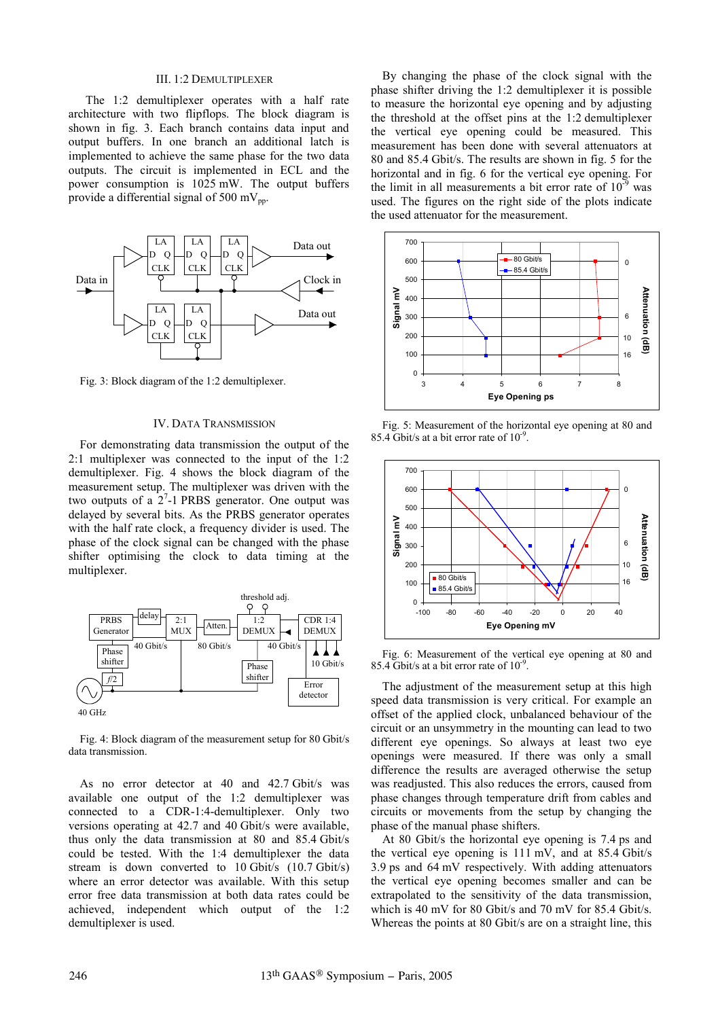## III. 1:2 DEMULTIPLEXER

The 1:2 demultiplexer operates with a half rate architecture with two flipflops. The block diagram is shown in fig. 3. Each branch contains data input and output buffers. In one branch an additional latch is implemented to achieve the same phase for the two data outputs. The circuit is implemented in ECL and the power consumption is 1025 mW. The output buffers provide a differential signal of 500 mV<sub>pp</sub>.



Fig. 3: Block diagram of the 1:2 demultiplexer.

## IV. DATA TRANSMISSION

For demonstrating data transmission the output of the 2:1 multiplexer was connected to the input of the 1:2 demultiplexer. Fig. 4 shows the block diagram of the measurement setup. The multiplexer was driven with the two outputs of a  $2^7$ -1 PRBS generator. One output was delayed by several bits. As the PRBS generator operates with the half rate clock, a frequency divider is used. The phase of the clock signal can be changed with the phase shifter optimising the clock to data timing at the multiplexer.



Fig. 4: Block diagram of the measurement setup for 80 Gbit/s data transmission.

As no error detector at 40 and 42.7 Gbit/s was available one output of the 1:2 demultiplexer was connected to a CDR-1:4-demultiplexer. Only two versions operating at 42.7 and 40 Gbit/s were available, thus only the data transmission at 80 and 85.4 Gbit/s could be tested. With the 1:4 demultiplexer the data stream is down converted to 10 Gbit/s (10.7 Gbit/s) where an error detector was available. With this setup error free data transmission at both data rates could be achieved, independent which output of the 1:2 demultiplexer is used.

By changing the phase of the clock signal with the phase shifter driving the 1:2 demultiplexer it is possible to measure the horizontal eye opening and by adjusting the threshold at the offset pins at the 1:2 demultiplexer the vertical eye opening could be measured. This measurement has been done with several attenuators at 80 and 85.4 Gbit/s. The results are shown in fig. 5 for the horizontal and in fig. 6 for the vertical eye opening. For the limit in all measurements a bit error rate of  $10^{-9}$  was used. The figures on the right side of the plots indicate the used attenuator for the measurement.



Fig. 5: Measurement of the horizontal eye opening at 80 and 85.4 Gbit/s at a bit error rate of  $10^{-9}$ .



Fig. 6: Measurement of the vertical eye opening at 80 and 85.4 Gbit/s at a bit error rate of  $10^{-9}$ .

The adjustment of the measurement setup at this high speed data transmission is very critical. For example an offset of the applied clock, unbalanced behaviour of the circuit or an unsymmetry in the mounting can lead to two different eye openings. So always at least two eye openings were measured. If there was only a small difference the results are averaged otherwise the setup was readjusted. This also reduces the errors, caused from phase changes through temperature drift from cables and circuits or movements from the setup by changing the phase of the manual phase shifters.

At 80 Gbit/s the horizontal eye opening is 7.4 ps and the vertical eye opening is 111 mV, and at 85.4 Gbit/s 3.9 ps and 64 mV respectively. With adding attenuators the vertical eye opening becomes smaller and can be extrapolated to the sensitivity of the data transmission, which is 40 mV for 80 Gbit/s and 70 mV for 85.4 Gbit/s. Whereas the points at 80 Gbit/s are on a straight line, this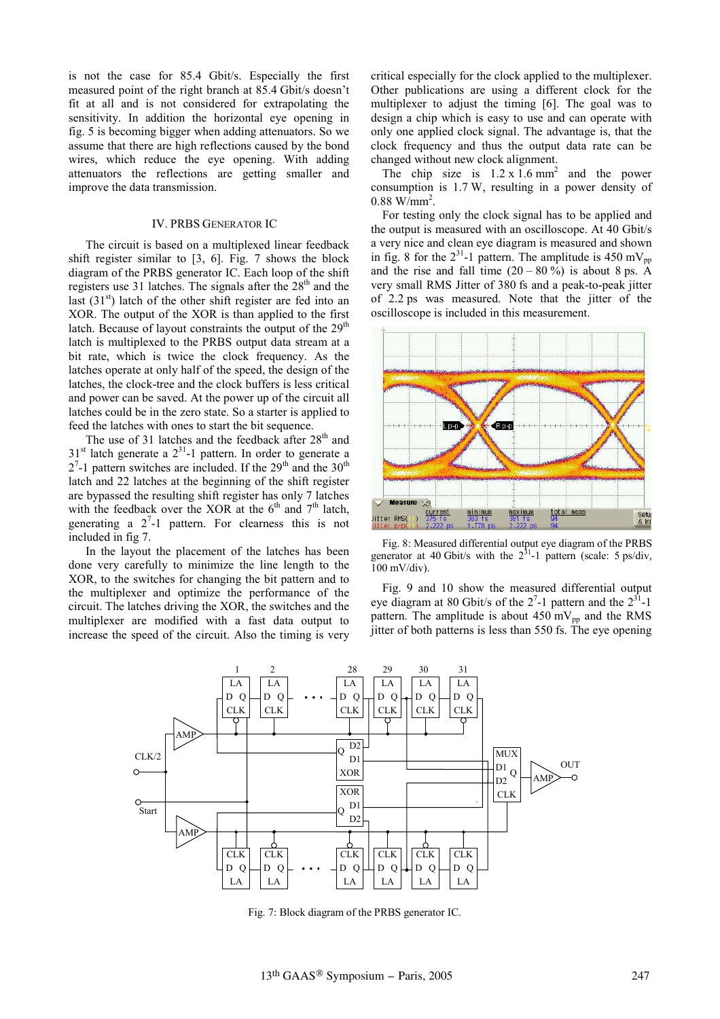is not the case for 85.4 Gbit/s. Especially the first measured point of the right branch at 85.4 Gbit/s doesn't fit at all and is not considered for extrapolating the sensitivity. In addition the horizontal eye opening in fig. 5 is becoming bigger when adding attenuators. So we assume that there are high reflections caused by the bond wires, which reduce the eye opening. With adding attenuators the reflections are getting smaller and improve the data transmission.

#### IV. PRBS GENERATOR IC

The circuit is based on a multiplexed linear feedback shift register similar to [3, 6]. Fig. 7 shows the block diagram of the PRBS generator IC. Each loop of the shift registers use 31 latches. The signals after the 28<sup>th</sup> and the last  $(31<sup>st</sup>)$  latch of the other shift register are fed into an XOR. The output of the XOR is than applied to the first latch. Because of layout constraints the output of the  $29<sup>th</sup>$ latch is multiplexed to the PRBS output data stream at a bit rate, which is twice the clock frequency. As the latches operate at only half of the speed, the design of the latches, the clock-tree and the clock buffers is less critical and power can be saved. At the power up of the circuit all latches could be in the zero state. So a starter is applied to feed the latches with ones to start the bit sequence.

The use of 31 latches and the feedback after 28<sup>th</sup> and  $31<sup>st</sup>$  latch generate a  $2<sup>31</sup>$ -1 pattern. In order to generate a  $2<sup>7</sup>$ -1 pattern switches are included. If the  $29<sup>th</sup>$  and the  $30<sup>th</sup>$ latch and 22 latches at the beginning of the shift register are bypassed the resulting shift register has only 7 latches with the feedback over the XOR at the  $6<sup>th</sup>$  and  $7<sup>th</sup>$  latch, generating a  $2^7$ -1 pattern. For clearness this is not included in fig 7.

In the layout the placement of the latches has been done very carefully to minimize the line length to the XOR, to the switches for changing the bit pattern and to the multiplexer and optimize the performance of the circuit. The latches driving the XOR, the switches and the multiplexer are modified with a fast data output to increase the speed of the circuit. Also the timing is very critical especially for the clock applied to the multiplexer. Other publications are using a different clock for the multiplexer to adjust the timing [6]. The goal was to design a chip which is easy to use and can operate with only one applied clock signal. The advantage is, that the clock frequency and thus the output data rate can be changed without new clock alignment.

The chip size is  $1.2 \times 1.6$  mm<sup>2</sup> and the power consumption is 1.7 W, resulting in a power density of  $0.88 \text{ W/mm}^2$ .

For testing only the clock signal has to be applied and the output is measured with an oscilloscope. At 40 Gbit/s a very nice and clean eye diagram is measured and shown in fig. 8 for the  $2^{31}$ -1 pattern. The amplitude is 450 mV<sub>pp</sub> and the rise and fall time  $(20 - 80\%)$  is about 8 ps. A very small RMS Jitter of 380 fs and a peak-to-peak jitter of 2.2 ps was measured. Note that the jitter of the oscilloscope is included in this measurement.



Fig. 8: Measured differential output eye diagram of the PRBS generator at 40 Gbit/s with the  $2^{31}$ -1 pattern (scale: 5 ps/div,  $100$  mV/div).

Fig. 9 and 10 show the measured differential output eye diagram at 80 Gbit/s of the  $2^7$ -1 pattern and the  $2^{31}$ -1 pattern. The amplitude is about  $450 \text{ mV}_{\text{pn}}$  and the RMS jitter of both patterns is less than 550 fs. The eye opening



Fig. 7: Block diagram of the PRBS generator IC.